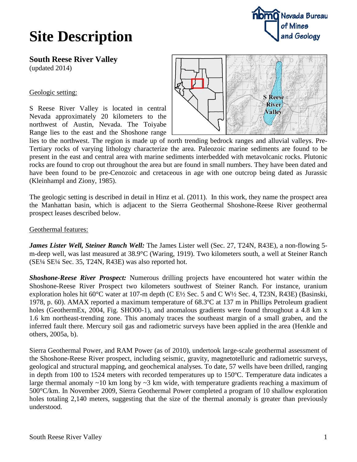## **Site Description**



**South Reese River Valley** (updated 2014)

### Geologic setting:

S Reese River Valley is located in central Nevada approximately 20 kilometers to the northwest of Austin, Nevada. The Toiyabe Range lies to the east and the Shoshone range



lies to the northwest. The region is made up of north trending bedrock ranges and alluvial valleys. Pre-Tertiary rocks of varying lithology characterize the area. Paleozoic marine sediments are found to be present in the east and central area with marine sediments interbedded with metavolcanic rocks. Plutonic rocks are found to crop out throughout the area but are found in small numbers. They have been dated and have been found to be pre-Cenozoic and cretaceous in age with one outcrop being dated as Jurassic (Kleinhampl and Ziony, 1985).

The geologic setting is described in detail in Hinz et al. (2011). In this work, they name the prospect area the Manhattan basin, which is adjacent to the Sierra Geothermal Shoshone-Reese River geothermal prospect leases described below.

Geothermal features:

*James Lister Well, Steiner Ranch Well:* The James Lister well (Sec. 27, T24N, R43E), a non-flowing 5m-deep well, was last measured at 38.9°C (Waring, 1919). Two kilometers south, a well at Steiner Ranch (SE¼ SE¼ Sec. 35, T24N, R43E) was also reported hot.

*Shoshone-Reese River Prospect:* Numerous drilling projects have encountered hot water within the Shoshone-Reese River Prospect two kilometers southwest of Steiner Ranch. For instance, uranium exploration holes hit 60°C water at 107-m depth (C E½ Sec. 5 and C W½ Sec. 4, T23N, R43E) (Basinski, 1978, p. 60). AMAX reported a maximum temperature of 68.3ºC at 137 m in Phillips Petroleum gradient holes (GeothermEx, 2004, Fig. SHO00-1), and anomalous gradients were found throughout a 4.8 km x 1.6 km northeast-trending zone. This anomaly traces the southeast margin of a small graben, and the inferred fault there. Mercury soil gas and radiometric surveys have been applied in the area (Henkle and others, 2005a, b).

Sierra Geothermal Power, and RAM Power (as of 2010), undertook large-scale geothermal assessment of the Shoshone-Reese River prospect, including seismic, gravity, magnetotelluric and radiometric surveys, geological and structural mapping, and geochemical analyses. To date, 57 wells have been drilled, ranging in depth from 100 to 1524 meters with recorded temperatures up to 150ºC. Temperature data indicates a large thermal anomaly ~10 km long by ~3 km wide, with temperature gradients reaching a maximum of 500°C/km. In November 2009, Sierra Geothermal Power completed a program of 10 shallow exploration holes totaling 2,140 meters, suggesting that the size of the thermal anomaly is greater than previously understood.